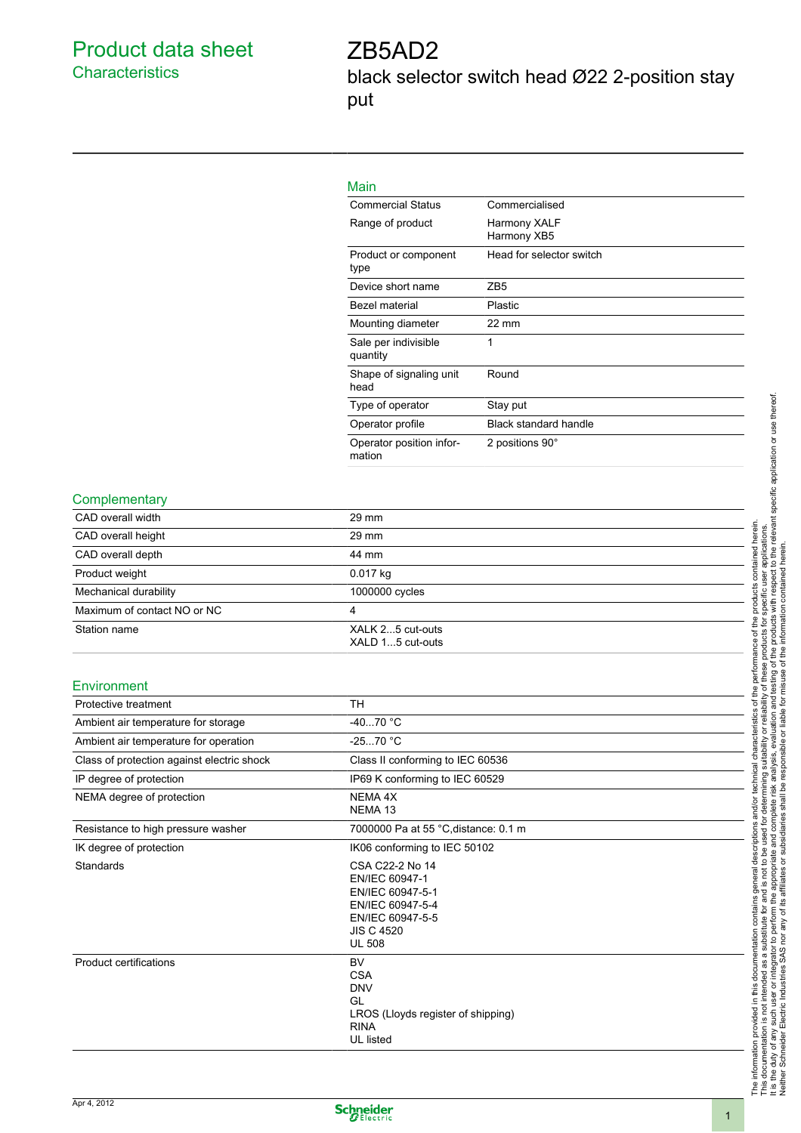### Product data sheet **Characteristics**

# ZB5AD2

black selector switch head Ø22 2-position stay put



### Main

| <b>Commercial Status</b>           | Commercialised               |
|------------------------------------|------------------------------|
| Range of product                   | Harmony XALF<br>Harmony XB5  |
| Product or component<br>type       | Head for selector switch     |
| Device short name                  | ZB5                          |
| Bezel material                     | Plastic                      |
| Mounting diameter                  | $22 \text{ mm}$              |
| Sale per indivisible<br>quantity   | 1                            |
| Shape of signaling unit<br>head    | Round                        |
| Type of operator                   | Stay put                     |
| Operator profile                   | <b>Black standard handle</b> |
| Operator position infor-<br>mation | 2 positions 90°              |

### **Complementary**

| CAD overall width                          | 29 mm                                                                                                                               |  |  |  |
|--------------------------------------------|-------------------------------------------------------------------------------------------------------------------------------------|--|--|--|
| CAD overall height                         | 29 mm                                                                                                                               |  |  |  |
| CAD overall depth                          | 44 mm                                                                                                                               |  |  |  |
| Product weight                             | 0.017 kg                                                                                                                            |  |  |  |
| Mechanical durability                      | 1000000 cycles                                                                                                                      |  |  |  |
| Maximum of contact NO or NC                | $\overline{4}$                                                                                                                      |  |  |  |
| Station name                               | XALK 25 cut-outs<br>XALD 15 cut-outs                                                                                                |  |  |  |
| Environment                                |                                                                                                                                     |  |  |  |
| Protective treatment                       | <b>TH</b>                                                                                                                           |  |  |  |
| Ambient air temperature for storage        | $-4070 °C$                                                                                                                          |  |  |  |
| Ambient air temperature for operation      | $-2570 °C$                                                                                                                          |  |  |  |
| Class of protection against electric shock | Class II conforming to IEC 60536                                                                                                    |  |  |  |
| IP degree of protection                    | IP69 K conforming to IEC 60529                                                                                                      |  |  |  |
| NEMA degree of protection                  | NEMA 4X<br>NEMA <sub>13</sub>                                                                                                       |  |  |  |
| Resistance to high pressure washer         | 7000000 Pa at 55 °C, distance: 0.1 m                                                                                                |  |  |  |
| IK degree of protection                    | IK06 conforming to IEC 50102                                                                                                        |  |  |  |
| Standards                                  | CSA C22-2 No 14<br>EN/IEC 60947-1<br>EN/IEC 60947-5-1<br>EN/IEC 60947-5-4<br>EN/IEC 60947-5-5<br><b>JIS C 4520</b><br><b>UL 508</b> |  |  |  |
| <b>Product certifications</b>              | <b>BV</b><br><b>CSA</b><br><b>DNV</b><br>GL<br>LROS (Lloyds register of shipping)<br><b>RINA</b><br>UL listed                       |  |  |  |

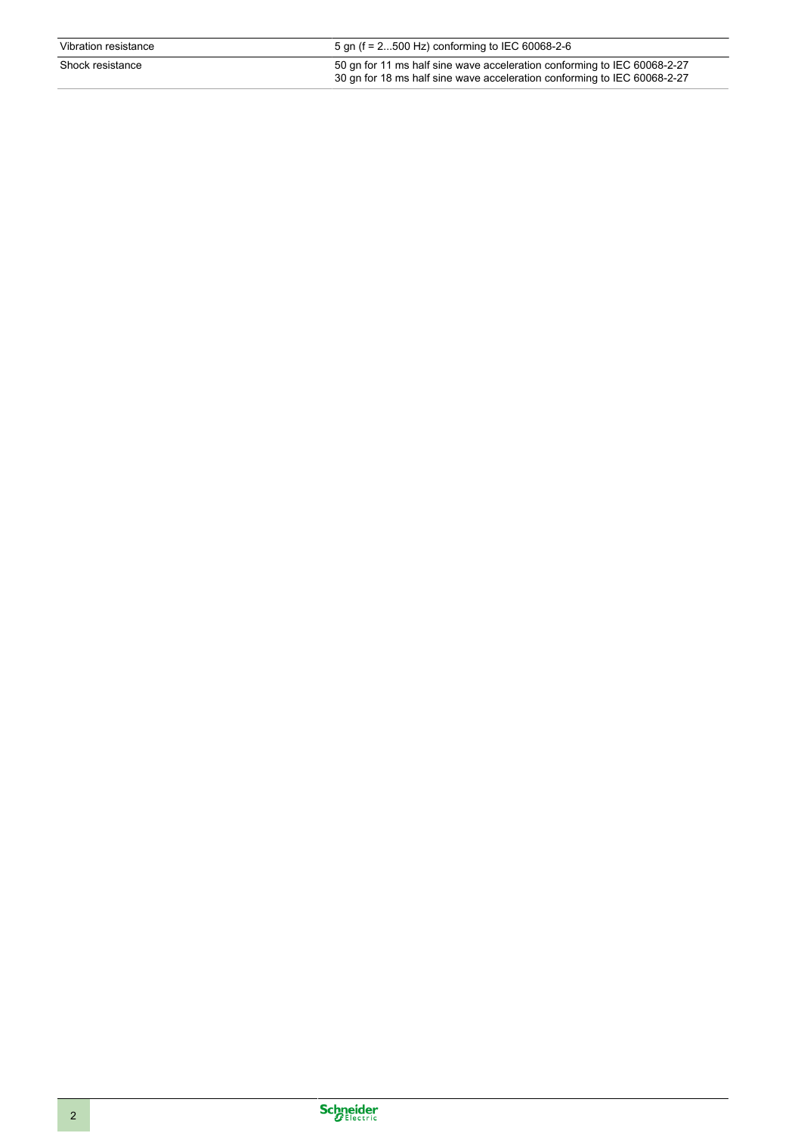| Vibration resistance | 5 gn (f = $2500$ Hz) conforming to IEC 60068-2-6                                                                                                     |
|----------------------|------------------------------------------------------------------------------------------------------------------------------------------------------|
| Shock resistance     | 50 gn for 11 ms half sine wave acceleration conforming to IEC 60068-2-27<br>30 gn for 18 ms half sine wave acceleration conforming to IEC 60068-2-27 |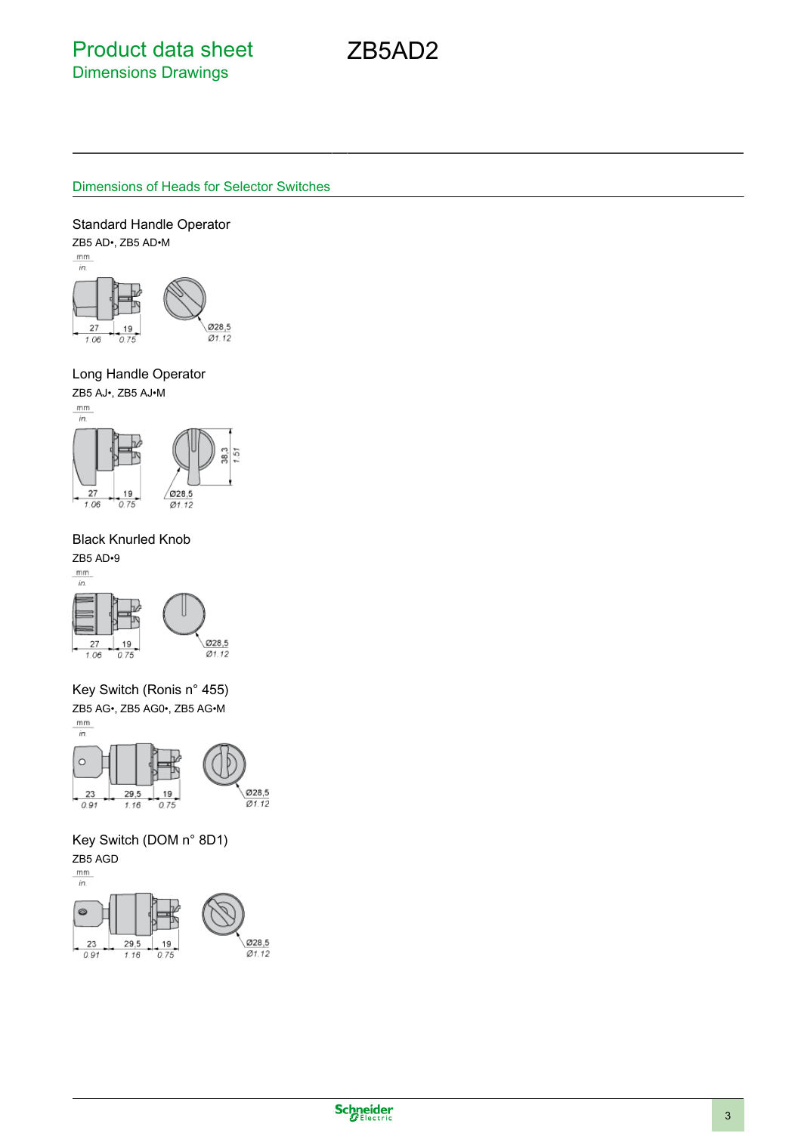ZB5AD2

### Dimensions of Heads for Selector Switches

Standard Handle Operator

ZB5 AD•, ZB5 AD•M<br><u>mm</u>



### Long Handle Operator

ZB5 AJ•, ZB5 AJ•M



### Black Knurled Knob

ZB5 AD•9





Key Switch (Ronis n° 455) ZB5 AG•, ZB5 AG0•, ZB5 AG•M



Key Switch (DOM n° 8D1) ZB5 AGD

#### $mm$  $\overline{in}$



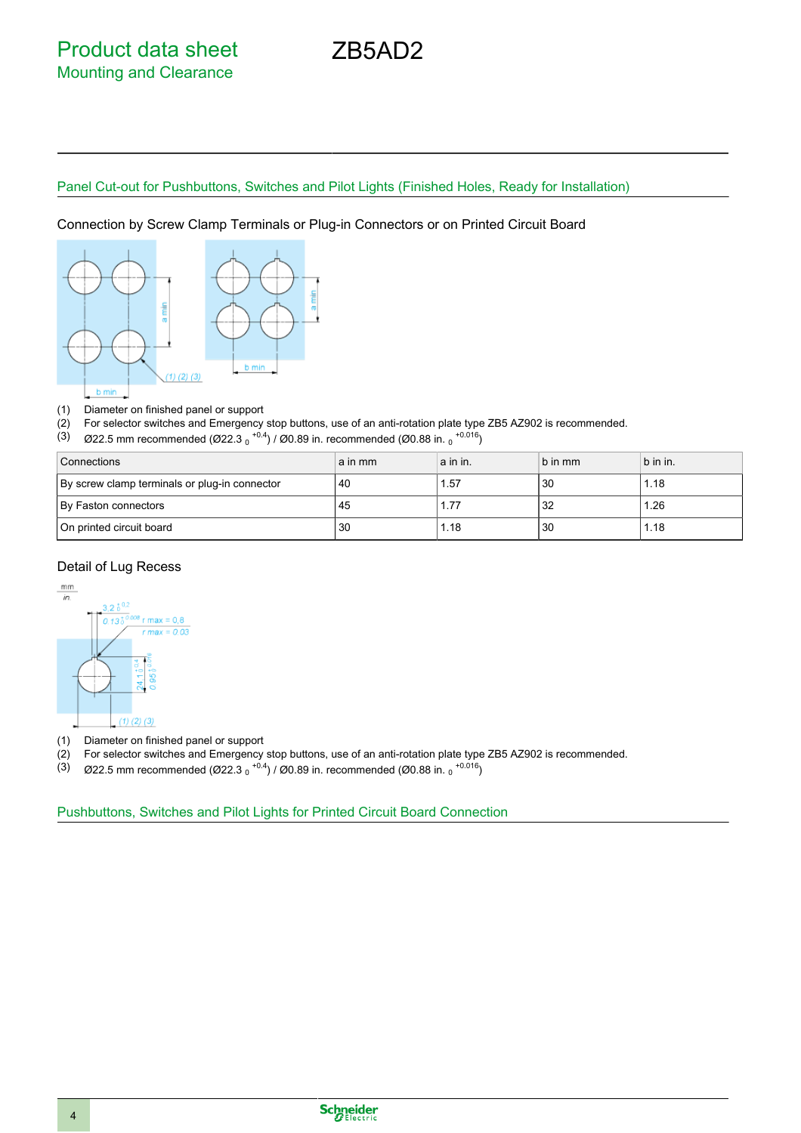## Panel Cut-out for Pushbuttons, Switches and Pilot Lights (Finished Holes, Ready for Installation)

ZB5AD2

Connection by Screw Clamp Terminals or Plug-in Connectors or on Printed Circuit Board



(1) Diameter on finished panel or support

(2) For selector switches and Emergency stop buttons, use of an anti-rotation plate type ZB5 AZ902 is recommended.

(3)  $\%$  Ø22.5 mm recommended (Ø22.3  $_{0}^{+0.4}$ ) / Ø0.89 in. recommended (Ø0.88 in.  $_{0}^{+0.016}$ )

| Connections                                   | a in mm | a in in. | b in mm | b in in. |
|-----------------------------------------------|---------|----------|---------|----------|
| By screw clamp terminals or plug-in connector | 40      | 1.57     | 30      | l.18     |
| By Faston connectors                          | 45      |          | 32      | 1.26     |
| On printed circuit board                      | 30      | 1.18     | 30      | 1.18     |

### Detail of Lug Recess



(1) Diameter on finished panel or support

- (2) For selector switches and Emergency stop buttons, use of an anti-rotation plate type ZB5 AZ902 is recommended.
- (3)  $\%$  Ø22.5 mm recommended (Ø22.3  $_{0}$  <sup>+0.4</sup>) / Ø0.89 in. recommended (Ø0.88 in.  $_{0}$  <sup>+0.016</sup>)

Pushbuttons, Switches and Pilot Lights for Printed Circuit Board Connection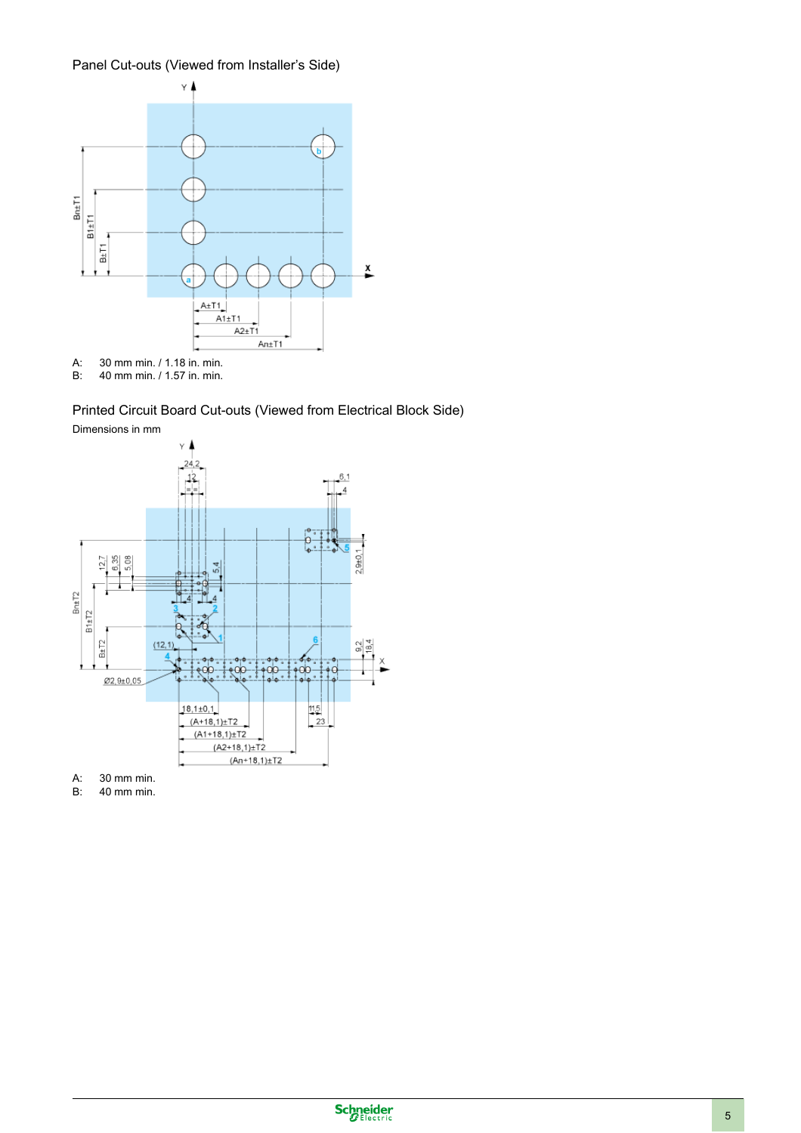### Panel Cut-outs (Viewed from Installer's Side)



B: 40 mm min. / 1.57 in. min.

### Printed Circuit Board Cut-outs (Viewed from Electrical Block Side)



A: 30 mm min.

B: 40 mm min.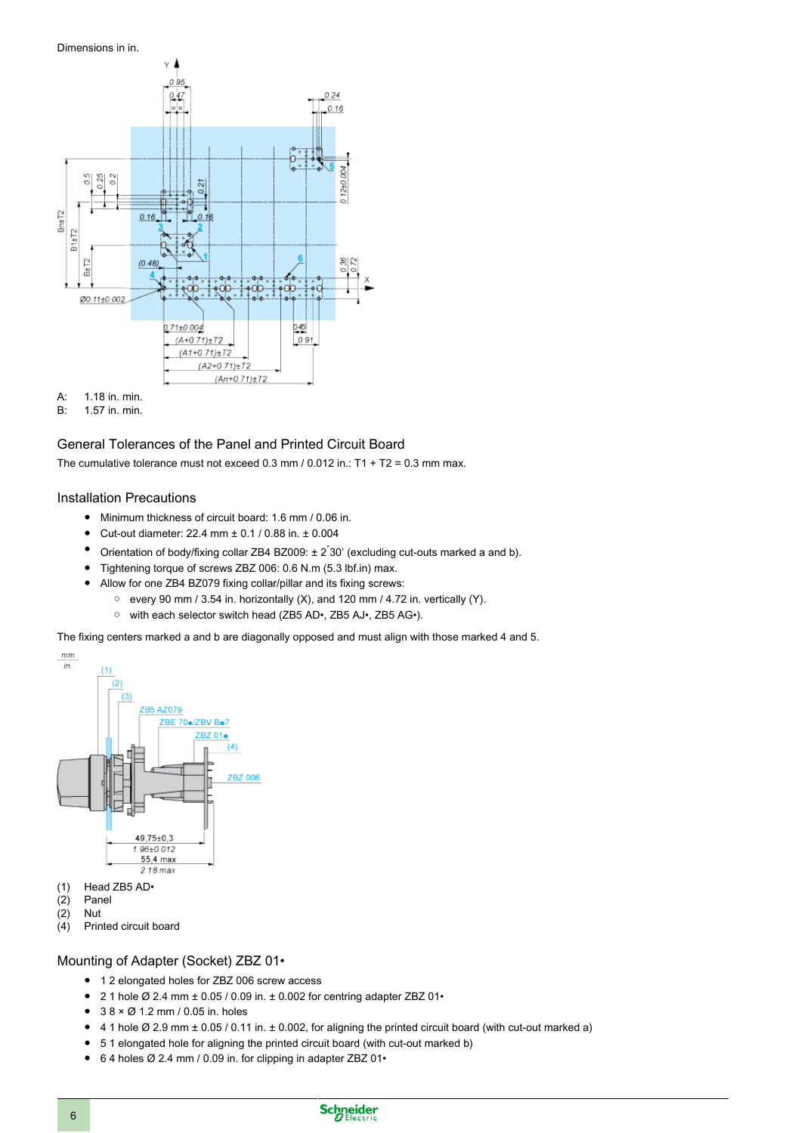

A: 1.18 in. min.<br>B: 1.57 in. min. B: 1.57 in. min.

# General Tolerances of the Panel and Printed Circuit Board

The cumulative tolerance must not exceed  $0.3$  mm  $/ 0.012$  in.: T1 + T2 = 0.3 mm max.

#### Installation Precautions

- Minimum thickness of circuit board: 1.6 mm / 0.06 in.
- Cut-out diameter: 22.4 mm ± 0.1 / 0.88 in. ± 0.004
- Orientation of body/fixing collar ZB4 BZ009:  $\pm 2^{\circ}$ 30' (excluding cut-outs marked a and b).
- Tightening torque of screws ZBZ 006: 0.6 N.m (5.3 lbf.in) max.
- Allow for one ZB4 BZ079 fixing collar/pillar and its fixing screws:
	- every 90 mm / 3.54 in. horizontally (X), and 120 mm / 4.72 in. vertically (Y).
	- with each selector switch head (ZB5 AD•, ZB5 AJ•, ZB5 AG•).

The fixing centers marked a and b are diagonally opposed and must align with those marked 4 and 5.



- (1) Head ZB5 AD•
- (2) Panel
- (2) Nut
- Printed circuit board

### Mounting of Adapter (Socket) ZBZ 01•

- 1 2 elongated holes for ZBZ 006 screw access
- 2 1 hole  $\varnothing$  2.4 mm  $\pm$  0.05 / 0.09 in.  $\pm$  0.002 for centring adapter ZBZ 01•
- $38 \times \emptyset$  1.2 mm / 0.05 in. holes
- 4 1 hole  $\emptyset$  2.9 mm  $\pm$  0.05 / 0.11 in.  $\pm$  0.002, for aligning the printed circuit board (with cut-out marked a)
- 5 1 elongated hole for aligning the printed circuit board (with cut-out marked b)
- 64 holes Ø 2.4 mm / 0.09 in. for clipping in adapter ZBZ 01•